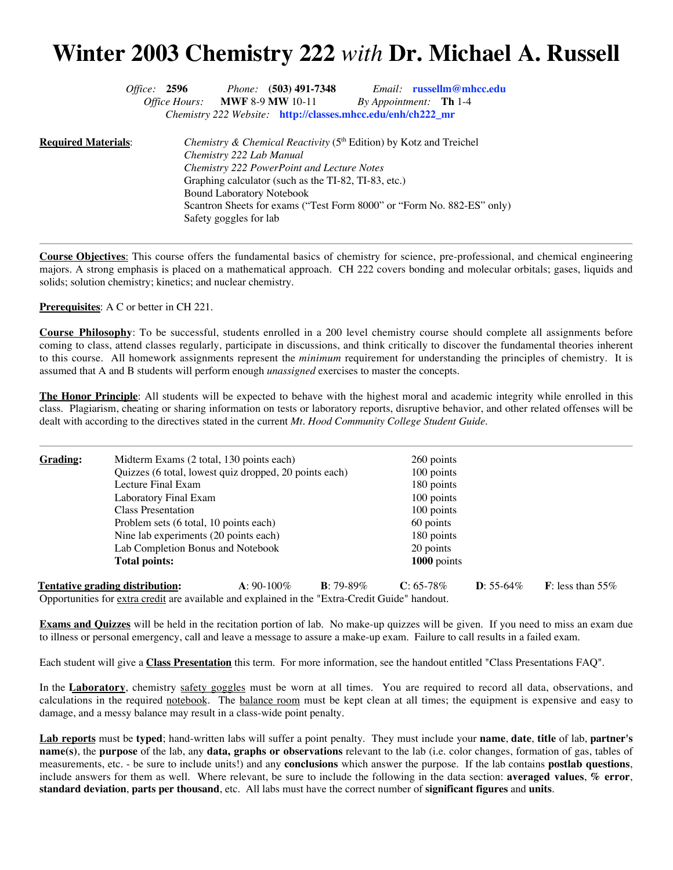## **Winter 2003 Chemistry 222** *with* **Dr. Michael A. Russell**

|                              | <i>Office:</i> 2596 |                                  | <i>Phone:</i> $(503)$ 491-7348 |                                                                                | <i>Email:</i> russellm@mhcc.edu                                        |
|------------------------------|---------------------|----------------------------------|--------------------------------|--------------------------------------------------------------------------------|------------------------------------------------------------------------|
|                              |                     |                                  | Office Hours: MWF 8-9 MW 10-11 |                                                                                | By Appointment: <b>Th</b> 1-4                                          |
|                              |                     |                                  |                                | <i>Chemistry 222 Website:</i> http://classes.mhcc.edu/enh/ch222_mr             |                                                                        |
| <u> Required Materials</u> : |                     | Chemistry 222 Lab Manual         |                                | Chemistry & Chemical Reactivity (5 <sup>th</sup> Edition) by Kotz and Treichel |                                                                        |
|                              |                     |                                  |                                | Chemistry 222 PowerPoint and Lecture Notes                                     |                                                                        |
|                              |                     |                                  |                                | Graphing calculator (such as the TI-82, TI-83, etc.)                           |                                                                        |
|                              |                     | <b>Bound Laboratory Notebook</b> |                                |                                                                                |                                                                        |
|                              |                     |                                  |                                |                                                                                | Scantron Sheets for exams ("Test Form 8000" or "Form No. 882-ES" only) |
|                              |                     | Safety goggles for lab           |                                |                                                                                |                                                                        |
|                              |                     |                                  |                                |                                                                                |                                                                        |

**Course Objectives**: This course offers the fundamental basics of chemistry for science, pre-professional, and chemical engineering majors. A strong emphasis is placed on a mathematical approach. CH 222 covers bonding and molecular orbitals; gases, liquids and solids; solution chemistry; kinetics; and nuclear chemistry.

**Prerequisites**: A C or better in CH 221.

**Course Philosophy**: To be successful, students enrolled in a 200 level chemistry course should complete all assignments before coming to class, attend classes regularly, participate in discussions, and think critically to discover the fundamental theories inherent to this course. All homework assignments represent the *minimum* requirement for understanding the principles of chemistry. It is assumed that A and B students will perform enough *unassigned* exercises to master the concepts.

**The Honor Principle**: All students will be expected to behave with the highest moral and academic integrity while enrolled in this class. Plagiarism, cheating or sharing information on tests or laboratory reports, disruptive behavior, and other related offenses will be dealt with according to the directives stated in the current *Mt. Hood Community College Student Guide*.

| Grading: | Midterm Exams (2 total, 130 points each) |                                                                                 | 260 points         |              |                    |                             |  |  |
|----------|------------------------------------------|---------------------------------------------------------------------------------|--------------------|--------------|--------------------|-----------------------------|--|--|
|          |                                          | Quizzes (6 total, lowest quiz dropped, 20 points each)                          |                    |              |                    | 100 points                  |  |  |
|          | Lecture Final Exam                       | 180 points                                                                      |                    |              |                    |                             |  |  |
|          | Laboratory Final Exam                    | 100 points<br>100 points                                                        |                    |              |                    |                             |  |  |
|          | <b>Class Presentation</b>                |                                                                                 |                    |              |                    |                             |  |  |
|          |                                          | Problem sets (6 total, 10 points each)<br>Nine lab experiments (20 points each) |                    |              |                    | 60 points                   |  |  |
|          |                                          |                                                                                 |                    |              |                    |                             |  |  |
|          | Lab Completion Bonus and Notebook        | 20 points                                                                       |                    |              |                    |                             |  |  |
|          | <b>Total points:</b>                     | 1000 points                                                                     |                    |              |                    |                             |  |  |
|          | Tentative grading distribution:          | $A: 90-100\%$                                                                   | <b>B</b> : 79-89\% | $C: 65-78\%$ | <b>D</b> : 55-64\% | <b>F</b> : less than $55\%$ |  |  |

**Exams and Quizzes** will be held in the recitation portion of lab. No make-up quizzes will be given. If you need to miss an exam due

Each student will give a **Class Presentation** this term. For more information, see the handout entitled "Class Presentations FAQ".

to illness or personal emergency, call and leave a message to assure a make-up exam. Failure to call results in a failed exam.

Opportunities for extra credit are available and explained in the "Extra-Credit Guide" handout.

In the **Laboratory**, chemistry safety goggles must be worn at all times. You are required to record all data, observations, and calculations in the required notebook. The balance room must be kept clean at all times; the equipment is expensive and easy to damage, and a messy balance may result in a class-wide point penalty.

**Lab reports** must be **typed**; hand-written labs will suffer a point penalty. They must include your **name**, **date**, **title** of lab, **partner's name(s)**, the **purpose** of the lab, any **data, graphs or observations** relevant to the lab (i.e. color changes, formation of gas, tables of measurements, etc. - be sure to include units!) and any **conclusions** which answer the purpose. If the lab contains **postlab questions**, include answers for them as well. Where relevant, be sure to include the following in the data section: **averaged values**, **% error**, **standard deviation**, **parts per thousand**, etc. All labs must have the correct number of **significant figures** and **units**.